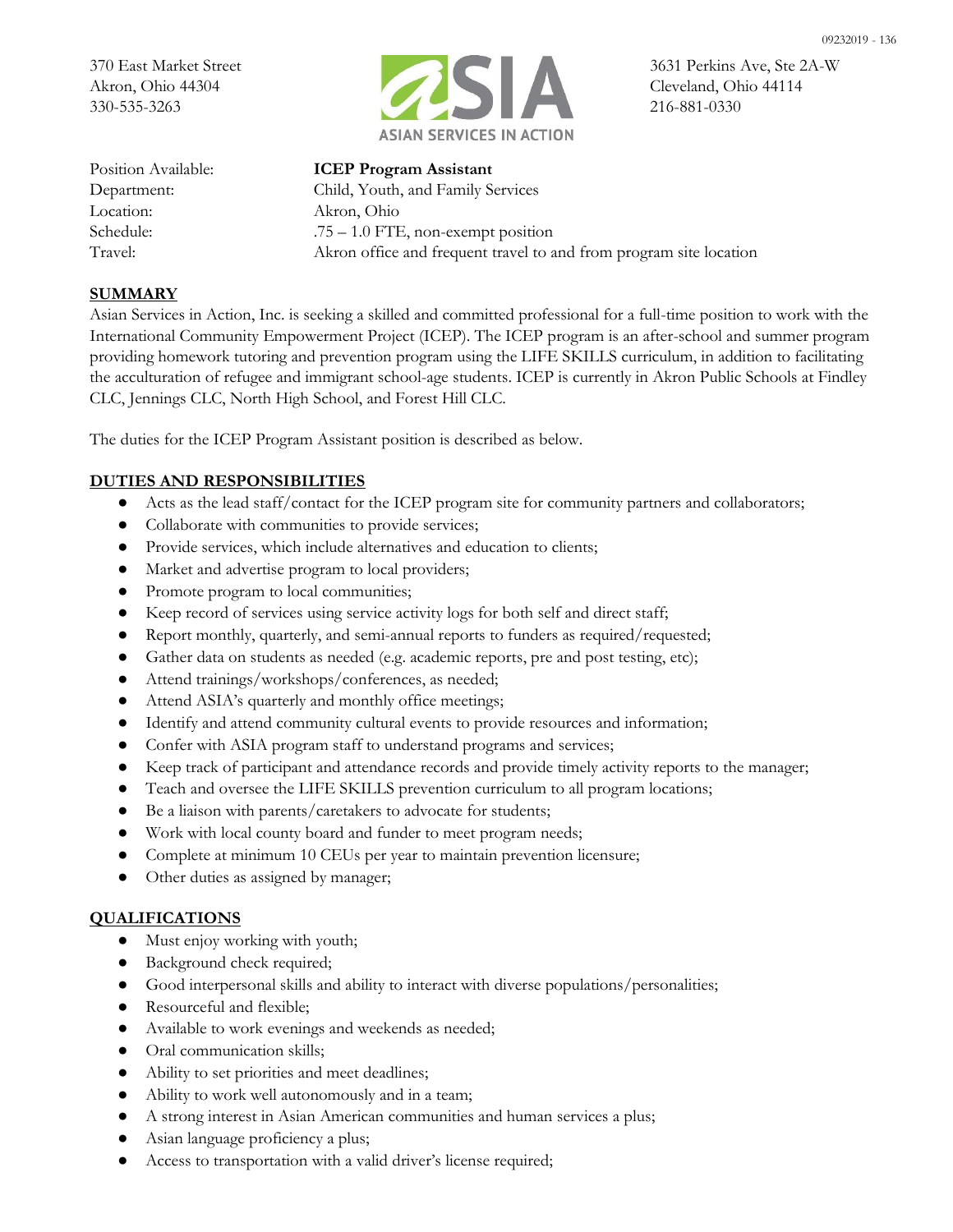

09232019 - 136

Location: Akron, Ohio

Position Available: **ICEP Program Assistant** Department: Child, Youth, and Family Services Schedule: .75 – 1.0 FTE, non-exempt position Travel: Akron office and frequent travel to and from program site location

## **SUMMARY**

Asian Services in Action, Inc. is seeking a skilled and committed professional for a full-time position to work with the International Community Empowerment Project (ICEP). The ICEP program is an after-school and summer program providing homework tutoring and prevention program using the LIFE SKILLS curriculum, in addition to facilitating the acculturation of refugee and immigrant school-age students. ICEP is currently in Akron Public Schools at Findley CLC, Jennings CLC, North High School, and Forest Hill CLC.

The duties for the ICEP Program Assistant position is described as below.

# **DUTIES AND RESPONSIBILITIES**

- Acts as the lead staff/contact for the ICEP program site for community partners and collaborators;
- Collaborate with communities to provide services;
- Provide services, which include alternatives and education to clients;
- Market and advertise program to local providers;
- Promote program to local communities;
- Keep record of services using service activity logs for both self and direct staff;
- Report monthly, quarterly, and semi-annual reports to funders as required/requested;
- Gather data on students as needed (e.g. academic reports, pre and post testing, etc);
- Attend trainings/workshops/conferences, as needed;
- Attend ASIA's quarterly and monthly office meetings;
- Identify and attend community cultural events to provide resources and information;
- Confer with ASIA program staff to understand programs and services;
- Keep track of participant and attendance records and provide timely activity reports to the manager;
- Teach and oversee the LIFE SKILLS prevention curriculum to all program locations;
- Be a liaison with parents/caretakers to advocate for students;
- Work with local county board and funder to meet program needs;
- Complete at minimum 10 CEUs per year to maintain prevention licensure;
- Other duties as assigned by manager;

### **QUALIFICATIONS**

- Must enjoy working with youth;
- Background check required;
- Good interpersonal skills and ability to interact with diverse populations/personalities;
- Resourceful and flexible;
- Available to work evenings and weekends as needed;
- Oral communication skills;
- Ability to set priorities and meet deadlines;
- Ability to work well autonomously and in a team;
- A strong interest in Asian American communities and human services a plus;
- Asian language proficiency a plus;
- Access to transportation with a valid driver's license required;